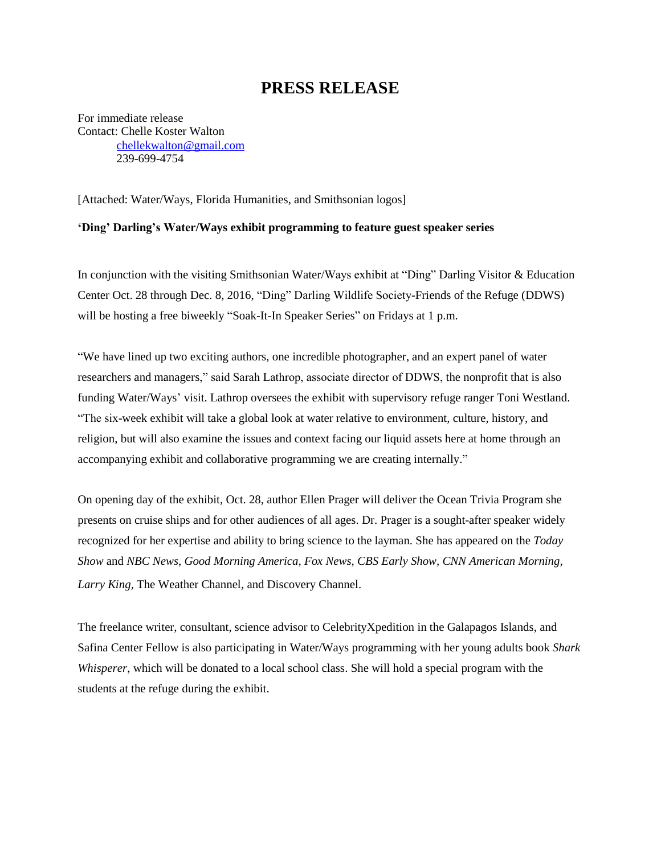## **PRESS RELEASE**

For immediate release Contact: Chelle Koster Walton [chellekwalton@gmail.com](mailto:chellekwalton@gmail.com) 239-699-4754

[Attached: Water/Ways, Florida Humanities, and Smithsonian logos]

## **'Ding' Darling's Water/Ways exhibit programming to feature guest speaker series**

In conjunction with the visiting Smithsonian Water/Ways exhibit at "Ding" Darling Visitor & Education Center Oct. 28 through Dec. 8, 2016, "Ding" Darling Wildlife Society-Friends of the Refuge (DDWS) will be hosting a free biweekly "Soak-It-In Speaker Series" on Fridays at 1 p.m.

"We have lined up two exciting authors, one incredible photographer, and an expert panel of water researchers and managers," said Sarah Lathrop, associate director of DDWS, the nonprofit that is also funding Water/Ways' visit. Lathrop oversees the exhibit with supervisory refuge ranger Toni Westland. "The six-week exhibit will take a global look at water relative to environment, culture, history, and religion, but will also examine the issues and context facing our liquid assets here at home through an accompanying exhibit and collaborative programming we are creating internally."

On opening day of the exhibit, Oct. 28, author Ellen Prager will deliver the Ocean Trivia Program she presents on cruise ships and for other audiences of all ages. Dr. Prager is a sought-after speaker widely recognized for her expertise and ability to bring science to the layman. She has appeared on the *Today Show* and *NBC News*, *Good Morning America, Fox News, CBS Early Show, CNN American Morning, Larry King,* The Weather Channel, and Discovery Channel.

The freelance writer, consultant, science advisor to CelebrityXpedition in the Galapagos Islands, and Safina Center Fellow is also participating in Water/Ways programming with her young adults book *Shark Whisperer*, which will be donated to a local school class. She will hold a special program with the students at the refuge during the exhibit.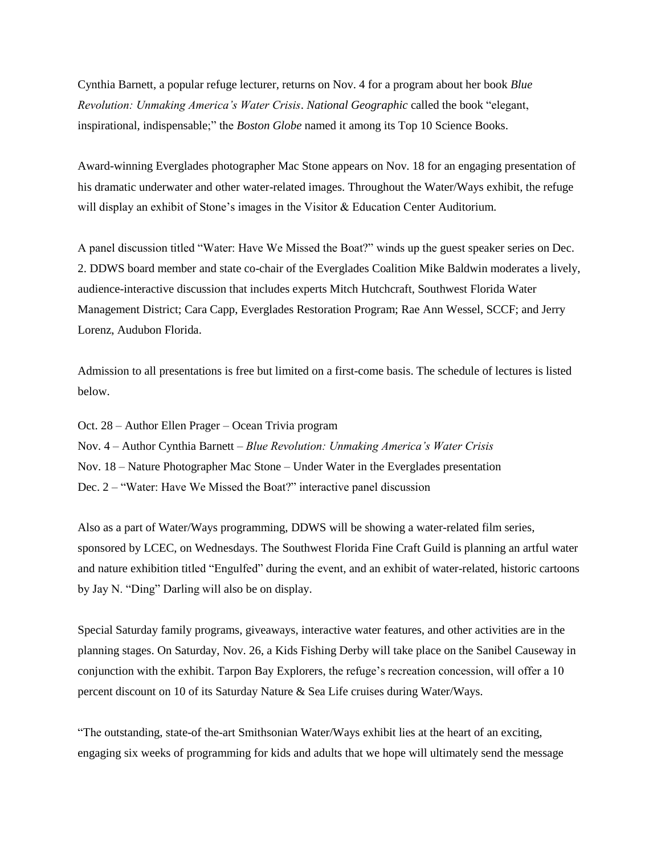Cynthia Barnett, a popular refuge lecturer, returns on Nov. 4 for a program about her book *Blue Revolution: Unmaking America's Water Crisis*. *National Geographic* called the book "elegant, inspirational, indispensable;" the *Boston Globe* named it among its Top 10 Science Books.

Award-winning Everglades photographer Mac Stone appears on Nov. 18 for an engaging presentation of his dramatic underwater and other water-related images. Throughout the Water/Ways exhibit, the refuge will display an exhibit of Stone's images in the Visitor & Education Center Auditorium.

A panel discussion titled "Water: Have We Missed the Boat?" winds up the guest speaker series on Dec. 2. DDWS board member and state co-chair of the Everglades Coalition Mike Baldwin moderates a lively, audience-interactive discussion that includes experts Mitch Hutchcraft, Southwest Florida Water Management District; Cara Capp, Everglades Restoration Program; Rae Ann Wessel, SCCF; and Jerry Lorenz, Audubon Florida.

Admission to all presentations is free but limited on a first-come basis. The schedule of lectures is listed below.

- Oct. 28 Author Ellen Prager Ocean Trivia program
- Nov. 4 Author Cynthia Barnett *Blue Revolution: Unmaking America's Water Crisis*
- Nov. 18 Nature Photographer Mac Stone Under Water in the Everglades presentation
- Dec. 2 "Water: Have We Missed the Boat?" interactive panel discussion

Also as a part of Water/Ways programming, DDWS will be showing a water-related film series, sponsored by LCEC, on Wednesdays. The Southwest Florida Fine Craft Guild is planning an artful water and nature exhibition titled "Engulfed" during the event, and an exhibit of water-related, historic cartoons by Jay N. "Ding" Darling will also be on display.

Special Saturday family programs, giveaways, interactive water features, and other activities are in the planning stages. On Saturday, Nov. 26, a Kids Fishing Derby will take place on the Sanibel Causeway in conjunction with the exhibit. Tarpon Bay Explorers, the refuge's recreation concession, will offer a 10 percent discount on 10 of its Saturday Nature & Sea Life cruises during Water/Ways.

"The outstanding, state-of the-art Smithsonian Water/Ways exhibit lies at the heart of an exciting, engaging six weeks of programming for kids and adults that we hope will ultimately send the message